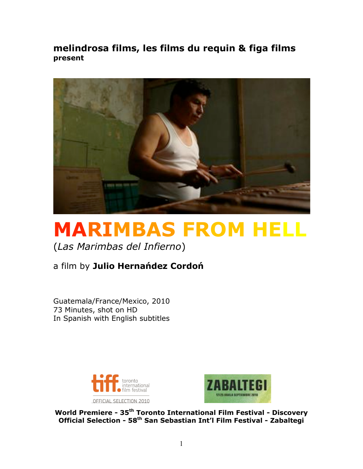**melindrosa films, les films du requin & figa films present**



# **MARIMBAS FROM HELL**

(*Las Marimbas del Infierno*)

# $a$  film by Julio Hernańdez Cordoń

Guatemala/France/Mexico, 2010 73 Minutes, shot on HD In Spanish with English subtitles





**World Premiere - 35th Toronto International Film Festival - Discovery Official Selection - 58th San Sebastian Int'l Film Festival - Zabaltegi**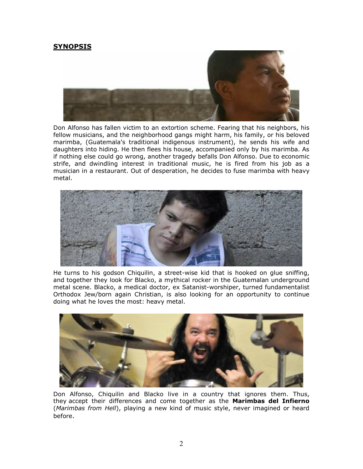### **SYNOPSIS**



Don Alfonso has fallen victim to an extortion scheme. Fearing that his neighbors, his fellow musicians, and the neighborhood gangs might harm, his family, or his beloved marimba, (Guatemala's traditional indigenous instrument), he sends his wife and daughters into hiding. He then flees his house, accompanied only by his marimba. As if nothing else could go wrong, another tragedy befalls Don Alfonso. Due to economic strife, and dwindling interest in traditional music, he is fired from his job as a musician in a restaurant. Out of desperation, he decides to fuse marimba with heavy metal.



He turns to his godson Chiquilin, a street-wise kid that is hooked on glue sniffing, and together they look for Blacko, a mythical rocker in the Guatemalan underground metal scene. Blacko, a medical doctor, ex Satanist-worshiper, turned fundamentalist Orthodox Jew/born again Christian, is also looking for an opportunity to continue doing what he loves the most: heavy metal.



Don Alfonso, Chiquilin and Blacko live in a country that ignores them. Thus, they accept their differences and come together as the **Marimbas del Infierno** (*Marimbas from Hell*), playing a new kind of music style, never imagined or heard before.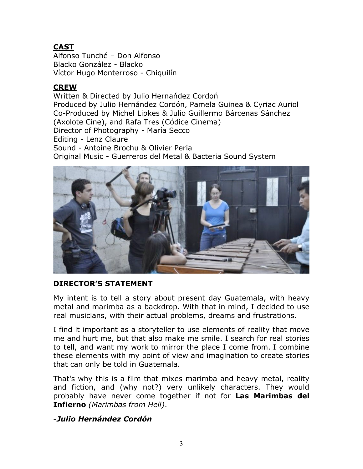# **CAST**

Alfonso Tunché – Don Alfonso Blacko González - Blacko Víctor Hugo Monterroso - Chiquilín

# **CREW**

Written & Directed by Julio Hernandez Cordon Produced by Julio Hernández Cordón, Pamela Guinea & Cyriac Auriol Co-Produced by Michel Lipkes & Julio Guillermo Bárcenas Sánchez (Axolote Cine), and Rafa Tres (Códice Cinema) Director of Photography - María Secco Editing - Lenz Claure Sound - Antoine Brochu & Olivier Peria Original Music - Guerreros del Metal & Bacteria Sound System



# **DIRECTOR'S STATEMENT**

My intent is to tell a story about present day Guatemala, with heavy metal and marimba as a backdrop. With that in mind, I decided to use real musicians, with their actual problems, dreams and frustrations.

I find it important as a storyteller to use elements of reality that move me and hurt me, but that also make me smile. I search for real stories to tell, and want my work to mirror the place I come from. I combine these elements with my point of view and imagination to create stories that can only be told in Guatemala.

That's why this is a film that mixes marimba and heavy metal, reality and fiction, and (why not?) very unlikely characters. They would probably have never come together if not for **Las Marimbas del Infierno** *(Marimbas from Hell)*.

# *-Julio Hernández Cordón*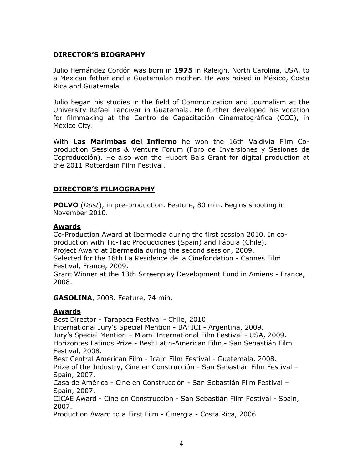## **DIRECTOR'S BIOGRAPHY**

Julio Hernández Cordón was born in **1975** in Raleigh, North Carolina, USA, to a Mexican father and a Guatemalan mother. He was raised in México, Costa Rica and Guatemala.

Julio began his studies in the field of Communication and Journalism at the University Rafael Landívar in Guatemala. He further developed his vocation for filmmaking at the Centro de Capacitación Cinematográfica (CCC), in México City.

With **Las Marimbas del Infierno** he won the 16th Valdivia Film Coproduction Sessions & Venture Forum (Foro de Inversiones y Sesiones de Coproducción). He also won the Hubert Bals Grant for digital production at the 2011 Rotterdam Film Festival.

#### **DIRECTOR'S FILMOGRAPHY**

**POLVO** (*Dust*), in pre-production. Feature, 80 min. Begins shooting in November 2010.

#### **Awards**

Co-Production Award at Ibermedia during the first session 2010. In coproduction with Tic-Tac Producciones (Spain) and Fábula (Chile). Project Award at Ibermedia during the second session, 2009. Selected for the 18th La Residence de la Cinefondation - Cannes Film Festival, France, 2009.

Grant Winner at the 13th Screenplay Development Fund in Amiens - France, 2008.

**GASOLINA**, 2008. Feature, 74 min.

#### **Awards**

Best Director - Tarapaca Festival - Chile, 2010. International Jury's Special Mention - BAFICI - Argentina, 2009. Jury's Special Mention – Miami International Film Festival - USA, 2009. Horizontes Latinos Prize - Best Latin-American Film - San Sebastián Film Festival, 2008. Best Central American Film - Icaro Film Festival - Guatemala, 2008. Prize of the Industry, Cine en Construcción - San Sebastián Film Festival – Spain, 2007. Casa de América - Cine en Construcción - San Sebastián Film Festival – Spain, 2007.

CICAE Award - Cine en Construcción - San Sebastián Film Festival - Spain, 2007.

Production Award to a First Film - Cinergia - Costa Rica, 2006.